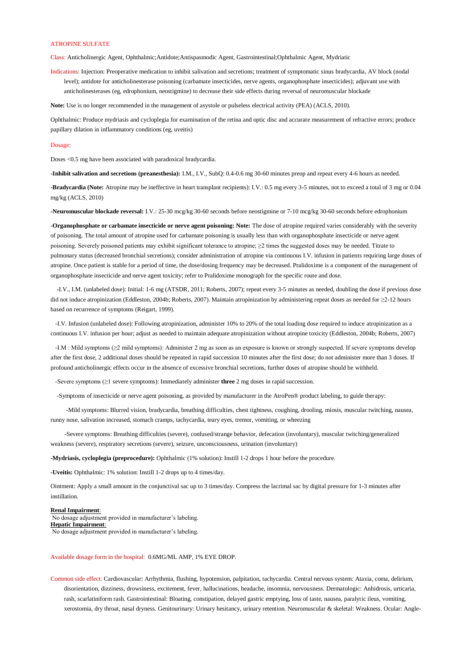## ATROPINE SULFATE

Class: Anticholinergic Agent, Ophthalmic;Antidote;Antispasmodic Agent, Gastrointestinal;Ophthalmic Agent, Mydriatic

Indications: Injection: Preoperative medication to inhibit salivation and secretions; treatment of symptomatic sinus bradycardia, AV block (nodal level); antidote for anticholinesterase poisoning (carbamate insecticides, nerve agents, organophosphate insecticides); adjuvant use with anticholinesterases (eg, edrophonium, neostigmine) to decrease their side effects during reversal of neuromuscular blockade

**Note:** Use is no longer recommended in the management of asystole or pulseless electrical activity (PEA) (ACLS, 2010).

Ophthalmic: Produce mydriasis and cycloplegia for examination of the retina and optic disc and accurate measurement of refractive errors; produce papillary dilation in inflammatory conditions (eg, uveitis)

## Dosage:

Doses <0.5 mg have been associated with paradoxical bradycardia.

**-Inhibit salivation and secretions (preanesthesia):** I.M., I.V., SubQ: 0.4-0.6 mg 30-60 minutes preop and repeat every 4-6 hours as needed.

**-Bradycardia (Note:** Atropine may be ineffective in heart transplant recipients): I.V.: 0.5 mg every 3-5 minutes, not to exceed a total of 3 mg or 0.04 mg/kg (ACLS, 2010)

**-Neuromuscular blockade reversal:** I.V.: 25-30 mcg/kg 30-60 seconds before neostigmine or 7-10 mcg/kg 30-60 seconds before edrophonium

**-Organophosphate or carbamate insecticide or nerve agent poisoning: Note:** The dose of atropine required varies considerably with the severity of poisoning. The total amount of atropine used for carbamate poisoning is usually less than with organophosphate insecticide or nerve agent poisoning. Severely poisoned patients may exhibit significant tolerance to atropine; ≥2 times the suggested doses may be needed. Titrate to pulmonary status (decreased bronchial secretions); consider administration of atropine via continuous I.V. infusion in patients requiring large doses of atropine. Once patient is stable for a period of time, the dose/dosing frequency may be decreased. Pralidoxime is a component of the management of organophosphate insecticide and nerve agent toxicity; refer to Pralidoxime monograph for the specific route and dose.

 -I.V., I.M. (unlabeled dose): Initial: 1-6 mg (ATSDR, 2011; Roberts, 2007); repeat every 3-5 minutes as needed, doubling the dose if previous dose did not induce atropinization (Eddleston, 2004b; Roberts, 2007). Maintain atropinization by administering repeat doses as needed for ≥2-12 hours based on recurrence of symptoms (Reigart, 1999).

 -I.V. Infusion (unlabeled dose): Following atropinization, administer 10% to 20% of the total loading dose required to induce atropinization as a continuous I.V. infusion per hour; adjust as needed to maintain adequate atropinization without atropine toxicity (Eddleston, 2004b; Roberts, 2007)

 -I.M : Mild symptoms (≥2 mild symptoms): Administer 2 mg as soon as an exposure is known or strongly suspected. If severe symptoms develop after the first dose, 2 additional doses should be repeated in rapid succession 10 minutes after the first dose; do not administer more than 3 doses. If profound anticholinergic effects occur in the absence of excessive bronchial secretions, further doses of atropine should be withheld.

-Severe symptoms (≥1 severe symptoms): Immediately administer **three** 2 mg doses in rapid succession.

-Symptoms of insecticide or nerve agent poisoning, as provided by manufacturer in the AtroPen® product labeling, to guide therapy:

 -Mild symptoms: Blurred vision, bradycardia, breathing difficulties, chest tightness, coughing, drooling, miosis, muscular twitching, nausea, runny nose, salivation increased, stomach cramps, tachycardia, teary eyes, tremor, vomiting, or wheezing

 -Severe symptoms: Breathing difficulties (severe), confused/strange behavior, defecation (involuntary), muscular twitching/generalized weakness (severe), respiratory secretions (severe), seizure, unconsciousness, urination (involuntary)

**-Mydriasis, cycloplegia (preprocedure):** Ophthalmic (1% solution): Instill 1-2 drops 1 hour before the procedure.

**-Uveitis:** Ophthalmic: 1% solution: Instill 1-2 drops up to 4 times/day.

Ointment: Apply a small amount in the conjunctival sac up to 3 times/day. Compress the lacrimal sac by digital pressure for 1-3 minutes after instillation.

## **Renal Impairment**:

No dosage adjustment provided in manufacturer's labeling. **Hepatic Impairment**:

No dosage adjustment provided in manufacturer's labeling.

Available dosage form in the hospital: 0.6MG/ML AMP, 1% EYE DROP.

Common side effect: Cardiovascular: Arrhythmia, flushing, hypotension, palpitation, tachycardia. Central nervous system: Ataxia, coma, delirium, disorientation, dizziness, drowsiness, excitement, fever, hallucinations, headache, insomnia, nervousness. Dermatologic: Anhidrosis, urticaria, rash, scarlatiniform rash. Gastrointestinal: Bloating, constipation, delayed gastric emptying, loss of taste, nausea, paralytic ileus, vomiting, xerostomia, dry throat, nasal dryness. Genitourinary: Urinary hesitancy, urinary retention. Neuromuscular & skeletal: Weakness. Ocular: Angle